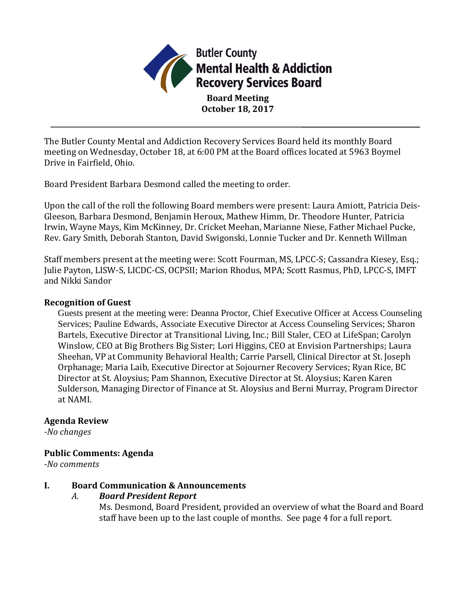

**October 18, 2017**

The Butler County Mental and Addiction Recovery Services Board held its monthly Board meeting on Wednesday, October 18, at 6:00 PM at the Board offices located at 5963 Boymel Drive in Fairfield, Ohio.

Board President Barbara Desmond called the meeting to order.

Upon the call of the roll the following Board members were present: Laura Amiott, Patricia Deis-Gleeson, Barbara Desmond, Benjamin Heroux, Mathew Himm, Dr. Theodore Hunter, Patricia Irwin, Wayne Mays, Kim McKinney, Dr. Cricket Meehan, Marianne Niese, Father Michael Pucke, Rev. Gary Smith, Deborah Stanton, David Swigonski, Lonnie Tucker and Dr. Kenneth Willman

Staff members present at the meeting were: Scott Fourman, MS, LPCC-S; Cassandra Kiesey, Esq.; Julie Payton, LISW-S, LICDC-CS, OCPSII; Marion Rhodus, MPA; Scott Rasmus, PhD, LPCC-S, IMFT and Nikki Sandor

#### **Recognition of Guest**

Guests present at the meeting were: Deanna Proctor, Chief Executive Officer at Access Counseling Services; Pauline Edwards, Associate Executive Director at Access Counseling Services; Sharon Bartels, Executive Director at Transitional Living, Inc.; Bill Staler, CEO at LifeSpan; Carolyn Winslow, CEO at Big Brothers Big Sister; Lori Higgins, CEO at Envision Partnerships; Laura Sheehan, VP at Community Behavioral Health; Carrie Parsell, Clinical Director at St. Joseph Orphanage; Maria Laib, Executive Director at Sojourner Recovery Services; Ryan Rice, BC Director at St. Aloysius; Pam Shannon, Executive Director at St. Aloysius; Karen Karen Sulderson, Managing Director of Finance at St. Aloysius and Berni Murray, Program Director at NAMI.

#### **Agenda Review**

*-No changes*

### **Public Comments: Agenda**

*-No comments*

### **I. Board Communication & Announcements**

### *A. Board President Report*

Ms. Desmond, Board President, provided an overview of what the Board and Board staff have been up to the last couple of months. See page 4 for a full report.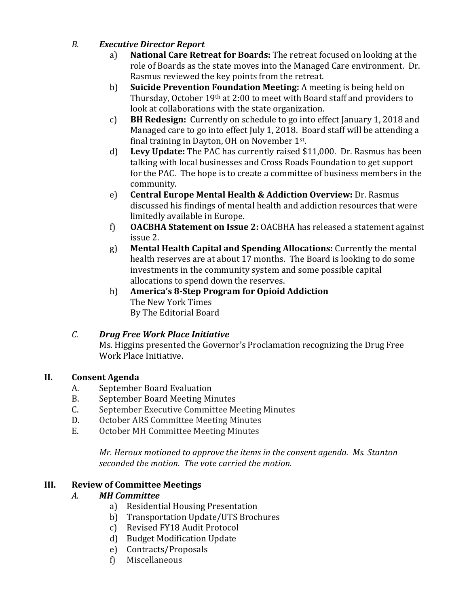## *B. Executive Director Report*

- a) **National Care Retreat for Boards:** The retreat focused on looking at the role of Boards as the state moves into the Managed Care environment. Dr. Rasmus reviewed the key points from the retreat.
- b) **Suicide Prevention Foundation Meeting:** A meeting is being held on Thursday, October 19th at 2:00 to meet with Board staff and providers to look at collaborations with the state organization.
- c) **BH Redesign:** Currently on schedule to go into effect January 1, 2018 and Managed care to go into effect July 1, 2018. Board staff will be attending a final training in Dayton, OH on November 1st.
- d) **Levy Update:** The PAC has currently raised \$11,000. Dr. Rasmus has been talking with local businesses and Cross Roads Foundation to get support for the PAC. The hope is to create a committee of business members in the community.
- e) **Central Europe Mental Health & Addiction Overview:** Dr. Rasmus discussed his findings of mental health and addiction resources that were limitedly available in Europe.
- f) **OACBHA Statement on Issue 2:** OACBHA has released a statement against issue 2.
- g) **Mental Health Capital and Spending Allocations:** Currently the mental health reserves are at about 17 months. The Board is looking to do some investments in the community system and some possible capital allocations to spend down the reserves.
- h) **America's 8-Step Program for Opioid Addiction** The New York Times By The Editorial Board

### *C. Drug Free Work Place Initiative*

Ms. Higgins presented the Governor's Proclamation recognizing the Drug Free Work Place Initiative.

# **II. Consent Agenda**

- A. September Board Evaluation
- B. September Board Meeting Minutes
- C. September Executive Committee Meeting Minutes
- D. October ARS Committee Meeting Minutes
- E. October MH Committee Meeting Minutes

*Mr. Heroux motioned to approve the items in the consent agenda. Ms. Stanton seconded the motion. The vote carried the motion.*

# **III. Review of Committee Meetings**

# *A. MH Committee*

- a) Residential Housing Presentation
- b) Transportation Update/UTS Brochures
- c) Revised FY18 Audit Protocol
- d) Budget Modification Update
- e) Contracts/Proposals
- f) Miscellaneous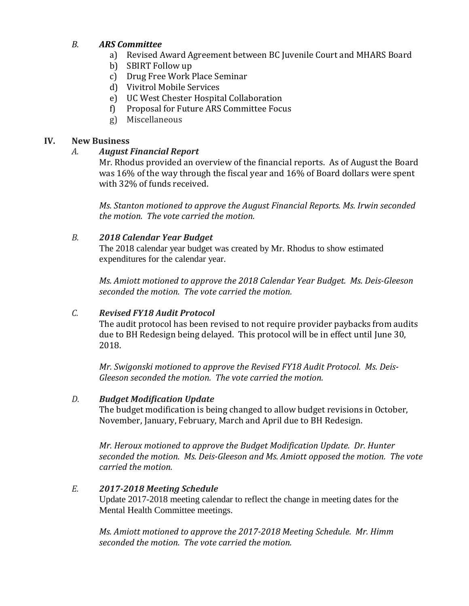### *B. ARS Committee*

- a) Revised Award Agreement between BC Juvenile Court and MHARS Board
- b) SBIRT Follow up
- c) Drug Free Work Place Seminar
- d) Vivitrol Mobile Services
- e) UC West Chester Hospital Collaboration
- f) Proposal for Future ARS Committee Focus
- g) Miscellaneous

### **IV. New Business**

### *A. August Financial Report*

Mr. Rhodus provided an overview of the financial reports. As of August the Board was 16% of the way through the fiscal year and 16% of Board dollars were spent with 32% of funds received.

*Ms. Stanton motioned to approve the August Financial Reports. Ms. Irwin seconded the motion. The vote carried the motion.* 

## *B. 2018 Calendar Year Budget*

The 2018 calendar year budget was created by Mr. Rhodus to show estimated expenditures for the calendar year.

*Ms. Amiott motioned to approve the 2018 Calendar Year Budget. Ms. Deis-Gleeson seconded the motion. The vote carried the motion.* 

# *C. Revised FY18 Audit Protocol*

The audit protocol has been revised to not require provider paybacks from audits due to BH Redesign being delayed. This protocol will be in effect until June 30, 2018.

*Mr. Swigonski motioned to approve the Revised FY18 Audit Protocol. Ms. Deis-Gleeson seconded the motion. The vote carried the motion.* 

### *D. Budget Modification Update*

The budget modification is being changed to allow budget revisions in October, November, January, February, March and April due to BH Redesign.

*Mr. Heroux motioned to approve the Budget Modification Update. Dr. Hunter seconded the motion. Ms. Deis-Gleeson and Ms. Amiott opposed the motion. The vote carried the motion.*

# *E. 2017-2018 Meeting Schedule*

Update 2017-2018 meeting calendar to reflect the change in meeting dates for the Mental Health Committee meetings.

*Ms. Amiott motioned to approve the 2017-2018 Meeting Schedule. Mr. Himm seconded the motion. The vote carried the motion.*